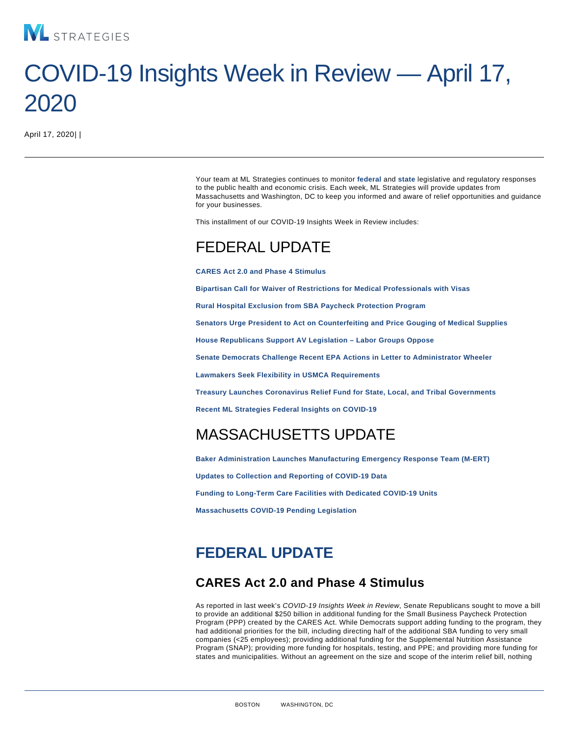# COVID-19 Insights Week in Review — April 17, 2020

April 17, 2020| |

Your team at ML Strategies continues to monitor federal and [state](#page-2-0) legislative and regulatory responses to the public health and economic crisis. Each week, ML Strategies will provide updates from Massachusetts and Washington, DC to keep you informed and aware of relief opportunities and guidance for your businesses.

This installment of our COVID-19 Insights Week in Review includes:

## FEDERAL UPDATE

CARES Act 2.0 and Phase 4 Stimulus

[Bipartisan Call for Waiver of Restrictions for Medical Professionals with Visas](#page-1-0)

[Rural Hospital Exclusion from SBA Paycheck Protection Program](#page-1-0)

[Senators Urge President to Act on Counterfeiting and Price Gouging of Medical Supplies](#page-1-0)

[House Republicans Support AV Legislation – Labor Groups Oppose](#page-1-0)

[Senate Democrats Challenge Recent EPA Actions in Letter to Administrator Wheeler](#page-1-0)

[Lawmakers Seek Flexibility in USMCA Requirements](#page-2-0)

[Treasury Launches Coronavirus Relief Fund for State, Local, and Tribal Governments](#page-2-0)

[Recent ML Strategies Federal Insights on COVID-19](#page-2-0)

## MASSACHUSETTS UPDATE

[Baker Administration Launches Manufacturing Emergency Response Team \(M-ERT\)](#page-2-0)

[Updates to Collection and Reporting of COVID-19 Data](#page-3-0)

[Funding to Long-Term Care Facilities with Dedicated COVID-19 Units](#page-3-0)

[Massachusetts COVID-19 Pending Legislation](/var/www/html/docroot/MassLegislation)

## FEDERAL UPDATE

#### CARES Act 2.0 and Phase 4 Stimulus

As reported in last week's COVID-19 Insights Week in Review, Senate Republicans sought to move a bill to provide an additional \$250 billion in additional funding for the Small Business Paycheck Protection Program (PPP) created by the CARES Act. While Democrats support adding funding to the program, they had additional priorities for the bill, including directing half of the additional SBA funding to very small companies (<25 employees); providing additional funding for the Supplemental Nutrition Assistance Program (SNAP); providing more funding for hospitals, testing, and PPE; and providing more funding for states and municipalities. Without an agreement on the size and scope of the interim relief bill, nothing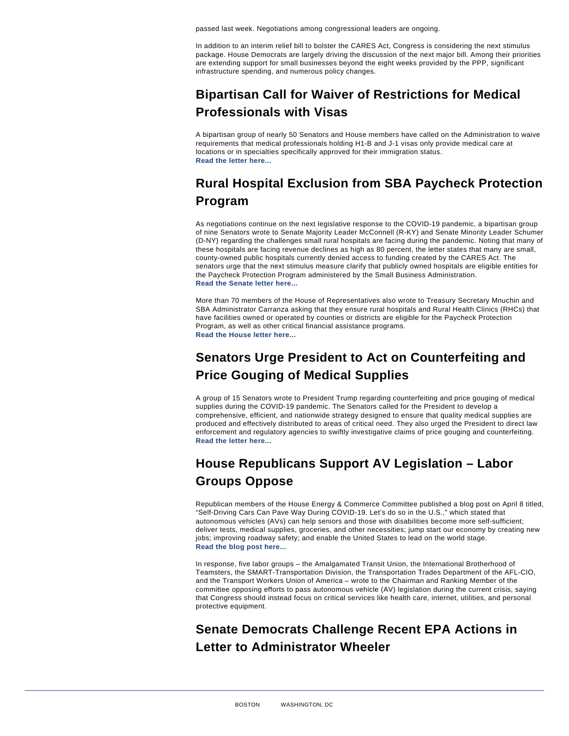<span id="page-1-0"></span>passed last week. Negotiations among congressional leaders are ongoing.

In addition to an interim relief bill to bolster the CARES Act, Congress is considering the next stimulus package. House Democrats are largely driving the discussion of the next major bill. Among their priorities are extending support for small businesses beyond the eight weeks provided by the PPP, significant infrastructure spending, and numerous policy changes.

## Bipartisan Call for Waiver of Restrictions for Medical Professionals with Visas

A bipartisan group of nearly 50 Senators and House members have called on the Administration to waive requirements that medical professionals holding H1-B and J-1 visas only provide medical care at locations or in specialties specifically approved for their immigration status. [Read the letter here...](https://www.klobuchar.senate.gov/public/_cache/files/2/5/25d21ee4-3ff6-485b-b53f-fd7a42fe0d52/163D64DD548684AC87E73A4FFC71D3E2.2020-04-06-letter-to-uscis.pdf)

## Rural Hospital Exclusion from SBA Paycheck Protection Program

As negotiations continue on the next legislative response to the COVID-19 pandemic, a bipartisan group of nine Senators wrote to Senate Majority Leader McConnell (R-KY) and Senate Minority Leader Schumer (D-NY) regarding the challenges small rural hospitals are facing during the pandemic. Noting that many of these hospitals are facing revenue declines as high as 80 percent, the letter states that many are small, county-owned public hospitals currently denied access to funding created by the CARES Act. The senators urge that the next stimulus measure clarify that publicly owned hospitals are eligible entities for the Paycheck Protection Program administered by the Small Business Administration. [Read the Senate letter here...](https://www.moran.senate.gov/public/_cache/files/2/7/27088ba8-8ea6-43be-a380-ef24a672272a/F229916043563698F1B38F25DD95A9FD.public-hospital-ppp-letter-final.pdf)

More than 70 members of the House of Representatives also wrote to Treasury Secretary Mnuchin and SBA Administrator Carranza asking that they ensure rural hospitals and Rural Health Clinics (RHCs) that have facilities owned or operated by counties or districts are eligible for the Paycheck Protection Program, as well as other critical financial assistance programs. [Read the House letter here...](https://adriansmith.house.gov/newsroom/press-releases/smith-arrington-and-colleagues-urge-rural-health-inclusion-cares-act)

## Senators Urge President to Act on Counterfeiting and Price Gouging of Medical Supplies

A group of 15 Senators wrote to President Trump regarding counterfeiting and price gouging of medical supplies during the COVID-19 pandemic. The Senators called for the President to develop a comprehensive, efficient, and nationwide strategy designed to ensure that quality medical supplies are produced and effectively distributed to areas of critical need. They also urged the President to direct law enforcement and regulatory agencies to swiftly investigative claims of price gouging and counterfeiting. [Read the letter here...](https://www.hassan.senate.gov/imo/media/doc/Trump_COVID_Fraud._Letter.FINAL.200408.pdf)

## House Republicans Support AV Legislation – Labor Groups Oppose

Republican members of the House Energy & Commerce Committee published a blog post on April 8 titled, "Self-Driving Cars Can Pave Way During COVID-19. Let's do so in the U.S.," which stated that autonomous vehicles (AVs) can help seniors and those with disabilities become more self-sufficient; deliver tests, medical supplies, groceries, and other necessities; jump start our economy by creating new jobs; improving roadway safety; and enable the United States to lead on the world stage. [Read the blog post here...](https://republicans-energycommerce.house.gov/news/blog/self-driving-cars-can-pave-way-during-covid-19-lets-do-so-in-the-u-s/)

In response, five labor groups – the Amalgamated Transit Union, the International Brotherhood of Teamsters, the SMART-Transportation Division, the Transportation Trades Department of the AFL-CIO, and the Transport Workers Union of America – wrote to the Chairman and Ranking Member of the committee opposing efforts to pass autonomous vehicle (AV) legislation during the current crisis, saying that Congress should instead focus on critical services like health care, internet, utilities, and personal protective equipment.

## Senate Democrats Challenge Recent EPA Actions in Letter to Administrator Wheeler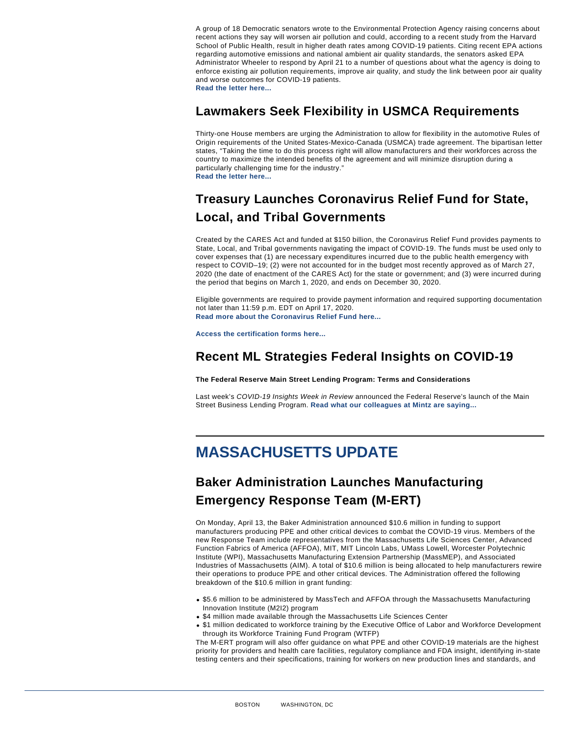<span id="page-2-0"></span>A group of 18 Democratic senators wrote to the Environmental Protection Agency raising concerns about recent actions they say will worsen air pollution and could, according to a recent study from the Harvard School of Public Health, result in higher death rates among COVID-19 patients. Citing recent EPA actions regarding automotive emissions and national ambient air quality standards, the senators asked EPA Administrator Wheeler to respond by April 21 to a number of questions about what the agency is doing to enforce existing air pollution requirements, improve air quality, and study the link between poor air quality and worse outcomes for COVID-19 patients. [Read the letter here...](https://www.hassan.senate.gov/imo/media/doc/AirPollutionLetter to EPA 4.14.2020 PDF FINAL.pdf)

#### Lawmakers Seek Flexibility in USMCA Requirements

Thirty-one House members are urging the Administration to allow for flexibility in the automotive Rules of Origin requirements of the United States-Mexico-Canada (USMCA) trade agreement. The bipartisan letter states, "Taking the time to do this process right will allow manufacturers and their workforces across the country to maximize the intended benefits of the agreement and will minimize disruption during a particularly challenging time for the industry." [Read the letter here...](https://stevens.house.govsites/stevens.house.gov/files/documents/USTR Letter on USMCA Implementation ROO.pdf)

## Treasury Launches Coronavirus Relief Fund for State, Local, and Tribal Governments

Created by the CARES Act and funded at \$150 billion, the Coronavirus Relief Fund provides payments to State, Local, and Tribal governments navigating the impact of COVID-19. The funds must be used only to cover expenses that (1) are necessary expenditures incurred due to the public health emergency with respect to COVID–19; (2) were not accounted for in the budget most recently approved as of March 27, 2020 (the date of enactment of the CARES Act) for the state or government; and (3) were incurred during the period that begins on March 1, 2020, and ends on December 30, 2020.

Eligible governments are required to provide payment information and required supporting documentation not later than 11:59 p.m. EDT on April 17, 2020. [Read more about the Coronavirus Relief Fund here...](https://home.treasury.gov/policy-issues/cares/state-and-local-governments)

[Access the certification forms here...](https://forms.treasury.gov/caresact/stateandlocal)

### Recent ML Strategies Federal Insights on COVID-19

The Federal Reserve Main Street Lending Program: Terms and Considerations

Last week's COVID-19 Insights Week in Review announced the Federal Reserve's launch of the Main Street Business Lending Program. [Read what our colleagues at Mintz are saying...](https://www.mintz.com/insights-center/viewpoints/2836/2020-04-14-federal-reserve-main-street-lending-program-terms-and)

## MASSACHUSETTS UPDATE

## Baker Administration Launches Manufacturing Emergency Response Team (M-ERT)

On Monday, April 13, the Baker Administration announced \$10.6 million in funding to support manufacturers producing PPE and other critical devices to combat the COVID-19 virus. Members of the new Response Team include representatives from the Massachusetts Life Sciences Center, Advanced Function Fabrics of America (AFFOA), MIT, MIT Lincoln Labs, UMass Lowell, Worcester Polytechnic Institute (WPI), Massachusetts Manufacturing Extension Partnership (MassMEP), and Associated Industries of Massachusetts (AIM). A total of \$10.6 million is being allocated to help manufacturers rewire their operations to produce PPE and other critical devices. The Administration offered the following breakdown of the \$10.6 million in grant funding:

- \$5.6 million to be administered by MassTech and AFFOA through the Massachusetts Manufacturing Innovation Institute (M2I2) program
- \$4 million made available through the Massachusetts Life Sciences Center
- \$1 million dedicated to workforce training by the Executive Office of Labor and Workforce Development through its Workforce Training Fund Program (WTFP)

The M-ERT program will also offer guidance on what PPE and other COVID-19 materials are the highest priority for providers and health care facilities, regulatory compliance and FDA insight, identifying in-state testing centers and their specifications, training for workers on new production lines and standards, and